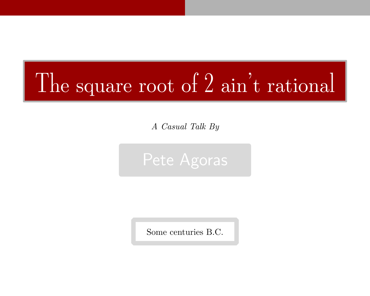# The square root of 2 ain't rational

A Casual Talk By



Some centuries B.C.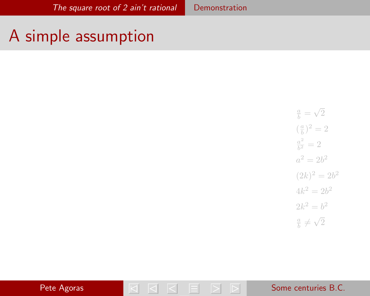#### <span id="page-1-0"></span>A simple assumption

 $\frac{a}{b} =$ 2  $(\frac{a}{b})^2 = 2$  $a^2$  $\frac{a^2}{b^2} = 2$  $a^2 = 2b^2$  $(2k)^2 = 2b^2$  $4k^2 = 2b^2$  $2k^2 = b^2$  $\frac{a}{b} \neq$ 2

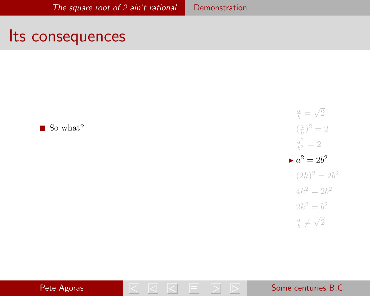#### <span id="page-2-0"></span>Its consequences

 $\blacksquare$  So what?

 $\frac{a}{b} =$ 2  $(\frac{a}{b})^2 = 2$  $a^2$  $\frac{a^2}{b^2} = 2$  $a^2 = 2b^2$  $(2k)^2 = 2b^2$  $4k^2 = 2b^2$  $2k^2 = b^2$  $\frac{a}{b} \neq$ 2

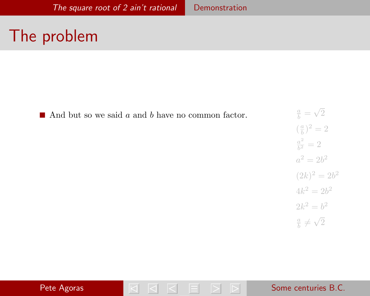### The problem

And but so we said a and b have no common factor.





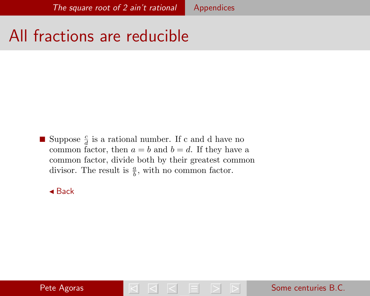## <span id="page-4-0"></span>All fractions are reducible

Suppose  $\frac{c}{d}$  is a rational number. If c and d have no common factor, then  $a = b$  and  $b = d$ . If they have a common factor, divide both by their greatest common divisor. The result is  $\frac{a}{b}$ , with no common factor.

 $\triangle$  [Back](#page-1-0)